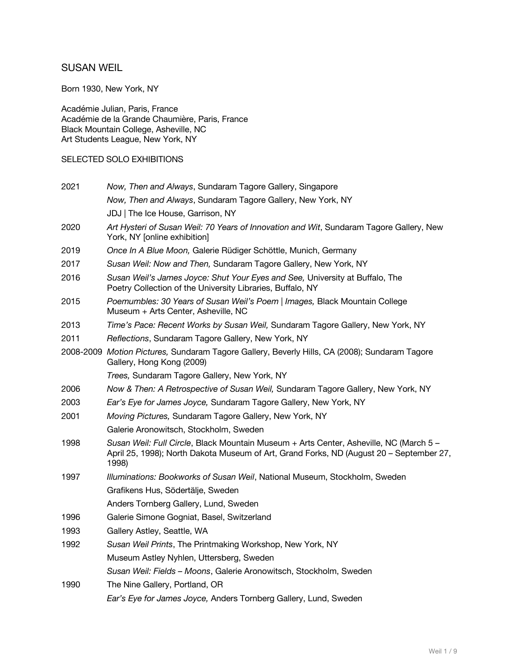# SUSAN WEIL

Born 1930, New York, NY

Académie Julian, Paris, France Académie de la Grande Chaumière, Paris, France Black Mountain College, Asheville, NC Art Students League, New York, NY

### SELECTED SOLO EXHIBITIONS

| 2021 | Now, Then and Always, Sundaram Tagore Gallery, Singapore                                                                                                                                   |
|------|--------------------------------------------------------------------------------------------------------------------------------------------------------------------------------------------|
|      | Now, Then and Always, Sundaram Tagore Gallery, New York, NY                                                                                                                                |
|      | JDJ   The Ice House, Garrison, NY                                                                                                                                                          |
| 2020 | Art Hysteri of Susan Weil: 70 Years of Innovation and Wit, Sundaram Tagore Gallery, New<br>York, NY [online exhibition]                                                                    |
| 2019 | Once In A Blue Moon, Galerie Rüdiger Schöttle, Munich, Germany                                                                                                                             |
| 2017 | Susan Weil: Now and Then, Sundaram Tagore Gallery, New York, NY                                                                                                                            |
| 2016 | Susan Weil's James Joyce: Shut Your Eyes and See, University at Buffalo, The<br>Poetry Collection of the University Libraries, Buffalo, NY                                                 |
| 2015 | Poemumbles: 30 Years of Susan Weil's Poem   Images, Black Mountain College<br>Museum + Arts Center, Asheville, NC                                                                          |
| 2013 | Time's Pace: Recent Works by Susan Weil, Sundaram Tagore Gallery, New York, NY                                                                                                             |
| 2011 | Reflections, Sundaram Tagore Gallery, New York, NY                                                                                                                                         |
|      | 2008-2009 Motion Pictures, Sundaram Tagore Gallery, Beverly Hills, CA (2008); Sundaram Tagore<br>Gallery, Hong Kong (2009)                                                                 |
|      | Trees, Sundaram Tagore Gallery, New York, NY                                                                                                                                               |
| 2006 | Now & Then: A Retrospective of Susan Weil, Sundaram Tagore Gallery, New York, NY                                                                                                           |
| 2003 | Ear's Eye for James Joyce, Sundaram Tagore Gallery, New York, NY                                                                                                                           |
| 2001 | Moving Pictures, Sundaram Tagore Gallery, New York, NY                                                                                                                                     |
|      | Galerie Aronowitsch, Stockholm, Sweden                                                                                                                                                     |
| 1998 | Susan Weil: Full Circle, Black Mountain Museum + Arts Center, Asheville, NC (March 5 -<br>April 25, 1998); North Dakota Museum of Art, Grand Forks, ND (August 20 - September 27,<br>1998) |
| 1997 | Illuminations: Bookworks of Susan Weil, National Museum, Stockholm, Sweden                                                                                                                 |
|      | Grafikens Hus, Södertälje, Sweden                                                                                                                                                          |
|      | Anders Tornberg Gallery, Lund, Sweden                                                                                                                                                      |
| 1996 | Galerie Simone Gogniat, Basel, Switzerland                                                                                                                                                 |
| 1993 | Gallery Astley, Seattle, WA                                                                                                                                                                |
| 1992 | Susan Weil Prints, The Printmaking Workshop, New York, NY                                                                                                                                  |
|      | Museum Astley Nyhlen, Uttersberg, Sweden                                                                                                                                                   |
|      | Susan Weil: Fields - Moons, Galerie Aronowitsch, Stockholm, Sweden                                                                                                                         |
| 1990 | The Nine Gallery, Portland, OR                                                                                                                                                             |
|      | Ear's Eye for James Joyce, Anders Tornberg Gallery, Lund, Sweden                                                                                                                           |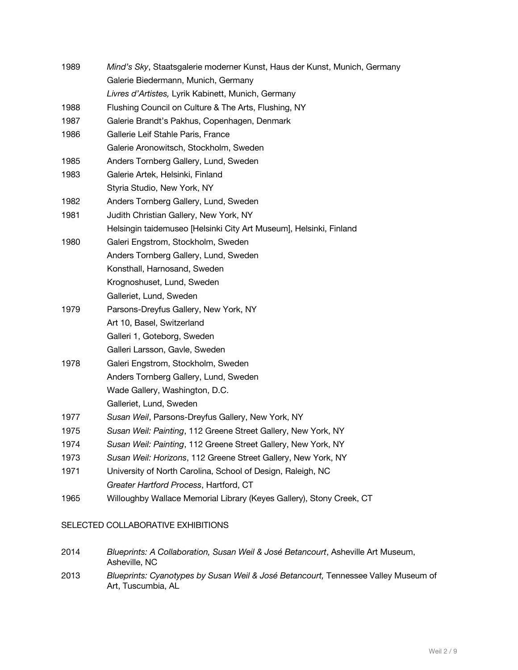| 1989 | Mind's Sky, Staatsgalerie moderner Kunst, Haus der Kunst, Munich, Germany |
|------|---------------------------------------------------------------------------|
|      | Galerie Biedermann, Munich, Germany                                       |
|      | Livres d'Artistes, Lyrik Kabinett, Munich, Germany                        |
| 1988 | Flushing Council on Culture & The Arts, Flushing, NY                      |
| 1987 | Galerie Brandt's Pakhus, Copenhagen, Denmark                              |
| 1986 | Gallerie Leif Stahle Paris, France                                        |
|      | Galerie Aronowitsch, Stockholm, Sweden                                    |
| 1985 | Anders Tornberg Gallery, Lund, Sweden                                     |
| 1983 | Galerie Artek, Helsinki, Finland                                          |
|      | Styria Studio, New York, NY                                               |
| 1982 | Anders Tornberg Gallery, Lund, Sweden                                     |
| 1981 | Judith Christian Gallery, New York, NY                                    |
|      | Helsingin taidemuseo [Helsinki City Art Museum], Helsinki, Finland        |
| 1980 | Galeri Engstrom, Stockholm, Sweden                                        |
|      | Anders Tornberg Gallery, Lund, Sweden                                     |
|      | Konsthall, Harnosand, Sweden                                              |
|      | Krognoshuset, Lund, Sweden                                                |
|      | Galleriet, Lund, Sweden                                                   |
| 1979 | Parsons-Dreyfus Gallery, New York, NY                                     |
|      | Art 10, Basel, Switzerland                                                |
|      | Galleri 1, Goteborg, Sweden                                               |
|      | Galleri Larsson, Gavle, Sweden                                            |
| 1978 | Galeri Engstrom, Stockholm, Sweden                                        |
|      | Anders Tornberg Gallery, Lund, Sweden                                     |
|      | Wade Gallery, Washington, D.C.                                            |
|      | Galleriet, Lund, Sweden                                                   |
| 1977 | Susan Weil, Parsons-Dreyfus Gallery, New York, NY                         |
| 1975 | Susan Weil: Painting, 112 Greene Street Gallery, New York, NY             |
| 1974 | Susan Weil: Painting, 112 Greene Street Gallery, New York, NY             |
| 1973 | Susan Weil: Horizons, 112 Greene Street Gallery, New York, NY             |
| 1971 | University of North Carolina, School of Design, Raleigh, NC               |
|      | Greater Hartford Process, Hartford, CT                                    |
| 1965 | Willoughby Wallace Memorial Library (Keyes Gallery), Stony Creek, CT      |

## SELECTED COLLABORATIVE EXHIBITIONS

| 2014 | Blueprints: A Collaboration, Susan Weil & José Betancourt, Asheville Art Museum, |
|------|----------------------------------------------------------------------------------|
|      | Asheville, NC                                                                    |

2013 *Blueprints: Cyanotypes by Susan Weil & José Betancourt,* Tennessee Valley Museum of Art, Tuscumbia, AL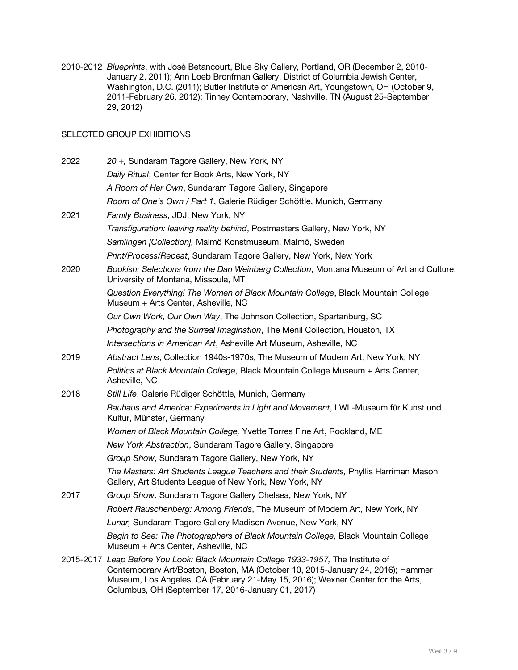2010-2012 *Blueprints*, with José Betancourt, Blue Sky Gallery, Portland, OR (December 2, 2010- January 2, 2011); Ann Loeb Bronfman Gallery, District of Columbia Jewish Center, Washington, D.C. (2011); Butler Institute of American Art, Youngstown, OH (October 9, 2011-February 26, 2012); Tinney Contemporary, Nashville, TN (August 25-September 29, 2012)

### SELECTED GROUP EXHIBITIONS

| 2022 | 20 +, Sundaram Tagore Gallery, New York, NY                                                                                                                                                                                                                                                                    |
|------|----------------------------------------------------------------------------------------------------------------------------------------------------------------------------------------------------------------------------------------------------------------------------------------------------------------|
|      | Daily Ritual, Center for Book Arts, New York, NY                                                                                                                                                                                                                                                               |
|      | A Room of Her Own, Sundaram Tagore Gallery, Singapore                                                                                                                                                                                                                                                          |
|      | Room of One's Own / Part 1, Galerie Rüdiger Schöttle, Munich, Germany                                                                                                                                                                                                                                          |
| 2021 | Family Business, JDJ, New York, NY                                                                                                                                                                                                                                                                             |
|      | Transfiguration: leaving reality behind, Postmasters Gallery, New York, NY                                                                                                                                                                                                                                     |
|      | Samlingen [Collection], Malmö Konstmuseum, Malmö, Sweden                                                                                                                                                                                                                                                       |
|      | Print/Process/Repeat, Sundaram Tagore Gallery, New York, New York                                                                                                                                                                                                                                              |
| 2020 | Bookish: Selections from the Dan Weinberg Collection, Montana Museum of Art and Culture,<br>University of Montana, Missoula, MT                                                                                                                                                                                |
|      | Question Everything! The Women of Black Mountain College, Black Mountain College<br>Museum + Arts Center, Asheville, NC                                                                                                                                                                                        |
|      | Our Own Work, Our Own Way, The Johnson Collection, Spartanburg, SC                                                                                                                                                                                                                                             |
|      | Photography and the Surreal Imagination, The Menil Collection, Houston, TX                                                                                                                                                                                                                                     |
|      | Intersections in American Art, Asheville Art Museum, Asheville, NC                                                                                                                                                                                                                                             |
| 2019 | Abstract Lens, Collection 1940s-1970s, The Museum of Modern Art, New York, NY                                                                                                                                                                                                                                  |
|      | Politics at Black Mountain College, Black Mountain College Museum + Arts Center,<br>Asheville, NC                                                                                                                                                                                                              |
| 2018 | Still Life, Galerie Rüdiger Schöttle, Munich, Germany                                                                                                                                                                                                                                                          |
|      | Bauhaus and America: Experiments in Light and Movement, LWL-Museum für Kunst und<br>Kultur, Münster, Germany                                                                                                                                                                                                   |
|      | Women of Black Mountain College, Yvette Torres Fine Art, Rockland, ME                                                                                                                                                                                                                                          |
|      | New York Abstraction, Sundaram Tagore Gallery, Singapore                                                                                                                                                                                                                                                       |
|      | Group Show, Sundaram Tagore Gallery, New York, NY                                                                                                                                                                                                                                                              |
|      | The Masters: Art Students League Teachers and their Students, Phyllis Harriman Mason<br>Gallery, Art Students League of New York, New York, NY                                                                                                                                                                 |
| 2017 | Group Show, Sundaram Tagore Gallery Chelsea, New York, NY                                                                                                                                                                                                                                                      |
|      | Robert Rauschenberg: Among Friends, The Museum of Modern Art, New York, NY                                                                                                                                                                                                                                     |
|      | Lunar, Sundaram Tagore Gallery Madison Avenue, New York, NY                                                                                                                                                                                                                                                    |
|      | Begin to See: The Photographers of Black Mountain College, Black Mountain College<br>Museum + Arts Center, Asheville, NC                                                                                                                                                                                       |
|      | 2015-2017 Leap Before You Look: Black Mountain College 1933-1957, The Institute of<br>Contemporary Art/Boston, Boston, MA (October 10, 2015-January 24, 2016); Hammer<br>Museum, Los Angeles, CA (February 21-May 15, 2016); Wexner Center for the Arts,<br>Columbus, OH (September 17, 2016-January 01, 2017) |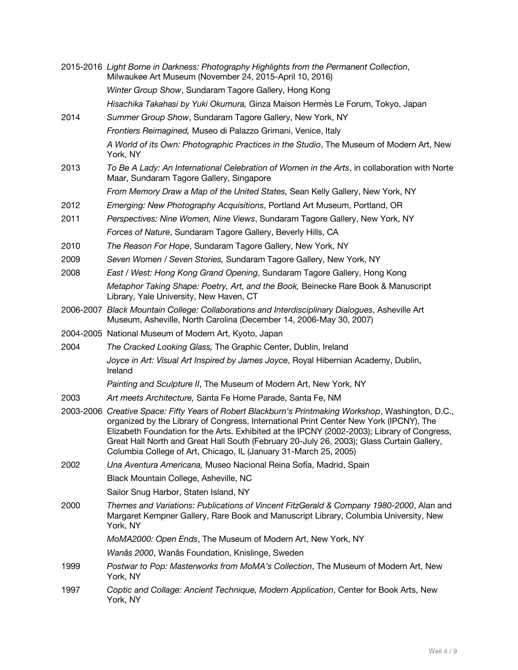|      | 2015-2016 Light Borne in Darkness: Photography Highlights from the Permanent Collection,<br>Milwaukee Art Museum (November 24, 2015-April 10, 2016)                                                                                                                                                                                                                                                                                                           |
|------|---------------------------------------------------------------------------------------------------------------------------------------------------------------------------------------------------------------------------------------------------------------------------------------------------------------------------------------------------------------------------------------------------------------------------------------------------------------|
|      | Winter Group Show, Sundaram Tagore Gallery, Hong Kong                                                                                                                                                                                                                                                                                                                                                                                                         |
|      | Hisachika Takahasi by Yuki Okumura, Ginza Maison Hermès Le Forum, Tokyo, Japan                                                                                                                                                                                                                                                                                                                                                                                |
| 2014 | Summer Group Show, Sundaram Tagore Gallery, New York, NY                                                                                                                                                                                                                                                                                                                                                                                                      |
|      | Frontiers Reimagined, Museo di Palazzo Grimani, Venice, Italy                                                                                                                                                                                                                                                                                                                                                                                                 |
|      | A World of its Own: Photographic Practices in the Studio, The Museum of Modern Art, New<br>York, NY                                                                                                                                                                                                                                                                                                                                                           |
| 2013 | To Be A Lady: An International Celebration of Women in the Arts, in collaboration with Norte<br>Maar, Sundaram Tagore Gallery, Singapore                                                                                                                                                                                                                                                                                                                      |
|      | From Memory Draw a Map of the United States, Sean Kelly Gallery, New York, NY                                                                                                                                                                                                                                                                                                                                                                                 |
| 2012 | Emerging: New Photography Acquisitions, Portland Art Museum, Portland, OR                                                                                                                                                                                                                                                                                                                                                                                     |
| 2011 | Perspectives: Nine Women, Nine Views, Sundaram Tagore Gallery, New York, NY                                                                                                                                                                                                                                                                                                                                                                                   |
|      | Forces of Nature, Sundaram Tagore Gallery, Beverly Hills, CA                                                                                                                                                                                                                                                                                                                                                                                                  |
| 2010 | The Reason For Hope, Sundaram Tagore Gallery, New York, NY                                                                                                                                                                                                                                                                                                                                                                                                    |
| 2009 | Seven Women / Seven Stories, Sundaram Tagore Gallery, New York, NY                                                                                                                                                                                                                                                                                                                                                                                            |
| 2008 | East / West: Hong Kong Grand Opening, Sundaram Tagore Gallery, Hong Kong                                                                                                                                                                                                                                                                                                                                                                                      |
|      | Metaphor Taking Shape: Poetry, Art, and the Book, Beinecke Rare Book & Manuscript<br>Library, Yale University, New Haven, CT                                                                                                                                                                                                                                                                                                                                  |
|      | 2006-2007 Black Mountain College: Collaborations and Interdisciplinary Dialogues, Asheville Art<br>Museum, Asheville, North Carolina (December 14, 2006-May 30, 2007)                                                                                                                                                                                                                                                                                         |
|      | 2004-2005 National Museum of Modern Art, Kyoto, Japan                                                                                                                                                                                                                                                                                                                                                                                                         |
| 2004 | The Cracked Looking Glass, The Graphic Center, Dublin, Ireland                                                                                                                                                                                                                                                                                                                                                                                                |
|      | Joyce in Art: Visual Art Inspired by James Joyce, Royal Hibernian Academy, Dublin,<br>Ireland                                                                                                                                                                                                                                                                                                                                                                 |
|      | Painting and Sculpture II, The Museum of Modern Art, New York, NY                                                                                                                                                                                                                                                                                                                                                                                             |
| 2003 | Art meets Architecture, Santa Fe Home Parade, Santa Fe, NM                                                                                                                                                                                                                                                                                                                                                                                                    |
|      | 2003-2006 Creative Space: Fifty Years of Robert Blackburn's Printmaking Workshop, Washington, D.C.,<br>organized by the Library of Congress, International Print Center New York (IPCNY), The<br>Elizabeth Foundation for the Arts. Exhibited at the IPCNY (2002-2003); Library of Congress,<br>Great Hall North and Great Hall South (February 20-July 26, 2003); Glass Curtain Gallery,<br>Columbia College of Art, Chicago, IL (January 31-March 25, 2005) |
| 2002 | Una Aventura Americana, Museo Nacional Reina Sofía, Madrid, Spain                                                                                                                                                                                                                                                                                                                                                                                             |
|      | Black Mountain College, Asheville, NC                                                                                                                                                                                                                                                                                                                                                                                                                         |
|      | Sailor Snug Harbor, Staten Island, NY                                                                                                                                                                                                                                                                                                                                                                                                                         |
| 2000 | Themes and Variations: Publications of Vincent FitzGerald & Company 1980-2000, Alan and<br>Margaret Kempner Gallery, Rare Book and Manuscript Library, Columbia University, New<br>York, NY                                                                                                                                                                                                                                                                   |
|      | MoMA2000: Open Ends, The Museum of Modern Art, New York, NY                                                                                                                                                                                                                                                                                                                                                                                                   |
|      | Wanås 2000, Wanås Foundation, Knislinge, Sweden                                                                                                                                                                                                                                                                                                                                                                                                               |
| 1999 | Postwar to Pop: Masterworks from MoMA's Collection, The Museum of Modern Art, New<br>York, NY                                                                                                                                                                                                                                                                                                                                                                 |
| 1997 | Coptic and Collage: Ancient Technique, Modern Application, Center for Book Arts, New<br>York, NY                                                                                                                                                                                                                                                                                                                                                              |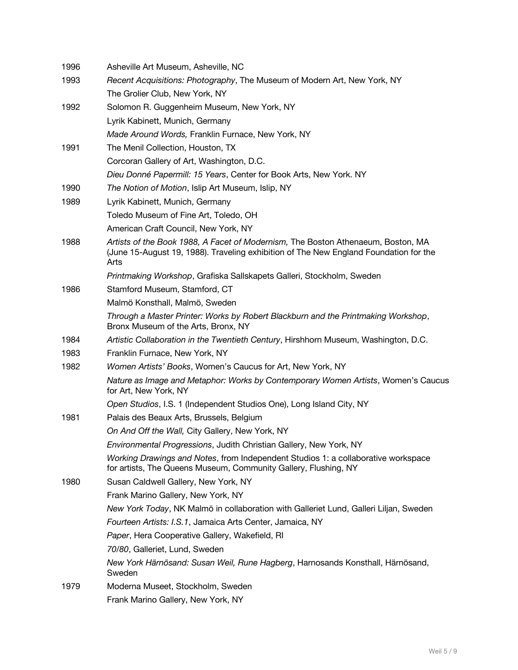| 1996 | Asheville Art Museum, Asheville, NC                                                                                                                                               |
|------|-----------------------------------------------------------------------------------------------------------------------------------------------------------------------------------|
| 1993 | Recent Acquisitions: Photography, The Museum of Modern Art, New York, NY                                                                                                          |
|      | The Grolier Club, New York, NY                                                                                                                                                    |
| 1992 | Solomon R. Guggenheim Museum, New York, NY                                                                                                                                        |
|      | Lyrik Kabinett, Munich, Germany                                                                                                                                                   |
|      | Made Around Words, Franklin Furnace, New York, NY                                                                                                                                 |
| 1991 | The Menil Collection, Houston, TX                                                                                                                                                 |
|      | Corcoran Gallery of Art, Washington, D.C.                                                                                                                                         |
|      | Dieu Donné Papermill: 15 Years, Center for Book Arts, New York. NY                                                                                                                |
| 1990 | The Notion of Motion, Islip Art Museum, Islip, NY                                                                                                                                 |
| 1989 | Lyrik Kabinett, Munich, Germany                                                                                                                                                   |
|      | Toledo Museum of Fine Art, Toledo, OH                                                                                                                                             |
|      | American Craft Council, New York, NY                                                                                                                                              |
| 1988 | Artists of the Book 1988, A Facet of Modernism, The Boston Athenaeum, Boston, MA<br>(June 15-August 19, 1988). Traveling exhibition of The New England Foundation for the<br>Arts |
|      | Printmaking Workshop, Grafiska Sallskapets Galleri, Stockholm, Sweden                                                                                                             |
| 1986 | Stamford Museum, Stamford, CT                                                                                                                                                     |
|      | Malmö Konsthall, Malmö, Sweden                                                                                                                                                    |
|      | Through a Master Printer: Works by Robert Blackburn and the Printmaking Workshop,<br>Bronx Museum of the Arts, Bronx, NY                                                          |
| 1984 | Artistic Collaboration in the Twentieth Century, Hirshhorn Museum, Washington, D.C.                                                                                               |
| 1983 | Franklin Furnace, New York, NY                                                                                                                                                    |
| 1982 | Women Artists' Books, Women's Caucus for Art, New York, NY                                                                                                                        |
|      | Nature as Image and Metaphor: Works by Contemporary Women Artists, Women's Caucus<br>for Art, New York, NY                                                                        |
|      | Open Studios, I.S. 1 (Independent Studios One), Long Island City, NY                                                                                                              |
| 1981 | Palais des Beaux Arts, Brussels, Belgium                                                                                                                                          |
|      | On And Off the Wall, City Gallery, New York, NY                                                                                                                                   |
|      | Environmental Progressions, Judith Christian Gallery, New York, NY                                                                                                                |
|      | Working Drawings and Notes, from Independent Studios 1: a collaborative workspace<br>for artists, The Queens Museum, Community Gallery, Flushing, NY                              |
| 1980 | Susan Caldwell Gallery, New York, NY                                                                                                                                              |
|      | Frank Marino Gallery, New York, NY                                                                                                                                                |
|      | New York Today, NK Malmö in collaboration with Galleriet Lund, Galleri Liljan, Sweden                                                                                             |
|      | Fourteen Artists: I.S.1, Jamaica Arts Center, Jamaica, NY                                                                                                                         |
|      | Paper, Hera Cooperative Gallery, Wakefield, RI                                                                                                                                    |
|      | 70/80, Galleriet, Lund, Sweden                                                                                                                                                    |
|      | New York Härnösand: Susan Weil, Rune Hagberg, Harnosands Konsthall, Härnösand,<br>Sweden                                                                                          |
| 1979 | Moderna Museet, Stockholm, Sweden                                                                                                                                                 |
|      | Frank Marino Gallery, New York, NY                                                                                                                                                |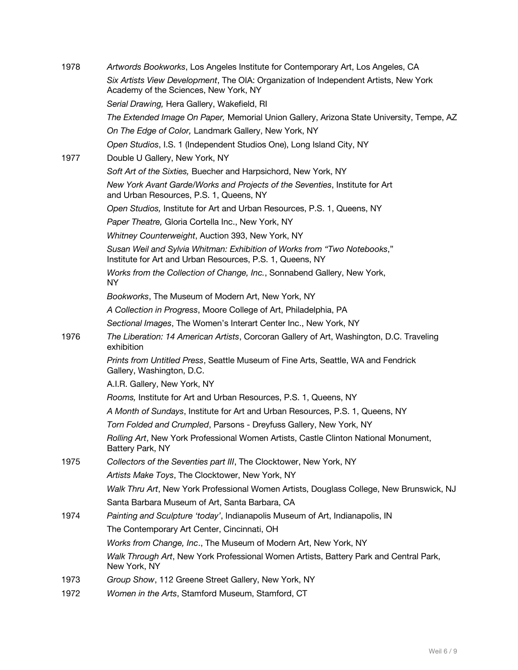| 1978 | Artwords Bookworks, Los Angeles Institute for Contemporary Art, Los Angeles, CA                                                       |
|------|---------------------------------------------------------------------------------------------------------------------------------------|
|      | Six Artists View Development, The OIA: Organization of Independent Artists, New York<br>Academy of the Sciences, New York, NY         |
|      | Serial Drawing, Hera Gallery, Wakefield, RI                                                                                           |
|      | The Extended Image On Paper, Memorial Union Gallery, Arizona State University, Tempe, AZ                                              |
|      | On The Edge of Color, Landmark Gallery, New York, NY                                                                                  |
|      | Open Studios, I.S. 1 (Independent Studios One), Long Island City, NY                                                                  |
| 1977 | Double U Gallery, New York, NY                                                                                                        |
|      | Soft Art of the Sixties, Buecher and Harpsichord, New York, NY                                                                        |
|      | New York Avant Garde/Works and Projects of the Seventies, Institute for Art<br>and Urban Resources, P.S. 1, Queens, NY                |
|      | Open Studios, Institute for Art and Urban Resources, P.S. 1, Queens, NY                                                               |
|      | Paper Theatre, Gloria Cortella Inc., New York, NY                                                                                     |
|      | Whitney Counterweight, Auction 393, New York, NY                                                                                      |
|      | Susan Weil and Sylvia Whitman: Exhibition of Works from "Two Notebooks,"<br>Institute for Art and Urban Resources, P.S. 1, Queens, NY |
|      | Works from the Collection of Change, Inc., Sonnabend Gallery, New York,<br><b>NY</b>                                                  |
|      | Bookworks, The Museum of Modern Art, New York, NY                                                                                     |
|      | A Collection in Progress, Moore College of Art, Philadelphia, PA                                                                      |
|      | Sectional Images, The Women's Interart Center Inc., New York, NY                                                                      |
| 1976 | The Liberation: 14 American Artists, Corcoran Gallery of Art, Washington, D.C. Traveling<br>exhibition                                |
|      | Prints from Untitled Press, Seattle Museum of Fine Arts, Seattle, WA and Fendrick<br>Gallery, Washington, D.C.                        |
|      | A.I.R. Gallery, New York, NY                                                                                                          |
|      | Rooms, Institute for Art and Urban Resources, P.S. 1, Queens, NY                                                                      |
|      | A Month of Sundays, Institute for Art and Urban Resources, P.S. 1, Queens, NY                                                         |
|      | Torn Folded and Crumpled, Parsons - Dreyfuss Gallery, New York, NY                                                                    |
|      | Rolling Art, New York Professional Women Artists, Castle Clinton National Monument,<br>Battery Park, NY                               |
| 1975 | Collectors of the Seventies part III, The Clocktower, New York, NY                                                                    |
|      | Artists Make Toys, The Clocktower, New York, NY                                                                                       |
|      | Walk Thru Art, New York Professional Women Artists, Douglass College, New Brunswick, NJ                                               |
|      | Santa Barbara Museum of Art, Santa Barbara, CA                                                                                        |
| 1974 | Painting and Sculpture 'today', Indianapolis Museum of Art, Indianapolis, IN                                                          |
|      | The Contemporary Art Center, Cincinnati, OH                                                                                           |
|      | Works from Change, Inc., The Museum of Modern Art, New York, NY                                                                       |
|      | Walk Through Art, New York Professional Women Artists, Battery Park and Central Park,<br>New York, NY                                 |
| 1973 | Group Show, 112 Greene Street Gallery, New York, NY                                                                                   |
| 1972 | Women in the Arts, Stamford Museum, Stamford, CT                                                                                      |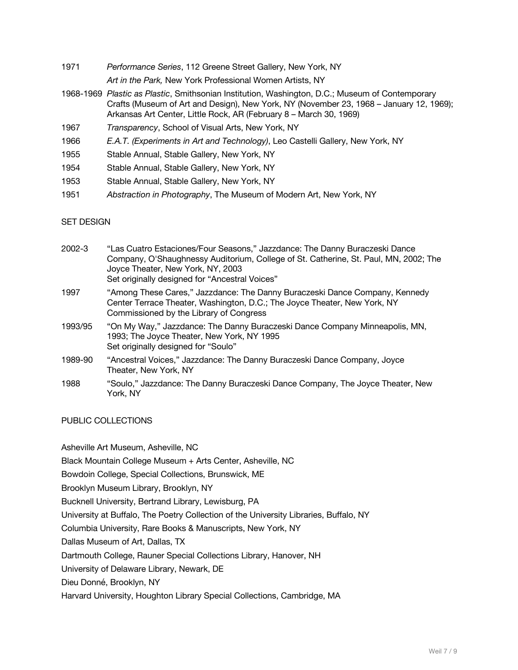1971 *Performance Series*, 112 Greene Street Gallery, New York, NY

*Art in the Park,* New York Professional Women Artists, NY

- 1968-1969 *Plastic as Plastic*, Smithsonian Institution, Washington, D.C.; Museum of Contemporary Crafts (Museum of Art and Design), New York, NY (November 23, 1968 – January 12, 1969); Arkansas Art Center, Little Rock, AR (February 8 – March 30, 1969)
- 1967 *Transparency*, School of Visual Arts, New York, NY
- 1966 *E.A.T. (Experiments in Art and Technology)*, Leo Castelli Gallery, New York, NY
- 1955 Stable Annual, Stable Gallery, New York, NY
- 1954 Stable Annual, Stable Gallery, New York, NY
- 1953 Stable Annual, Stable Gallery, New York, NY
- 1951 *Abstraction in Photography*, The Museum of Modern Art, New York, NY

#### SET DESIGN

| 2002-3  | "Las Cuatro Estaciones/Four Seasons," Jazzdance: The Danny Buraczeski Dance<br>Company, O'Shaughnessy Auditorium, College of St. Catherine, St. Paul, MN, 2002; The<br>Joyce Theater, New York, NY, 2003<br>Set originally designed for "Ancestral Voices" |
|---------|------------------------------------------------------------------------------------------------------------------------------------------------------------------------------------------------------------------------------------------------------------|
| 1997    | "Among These Cares," Jazzdance: The Danny Buraczeski Dance Company, Kennedy<br>Center Terrace Theater, Washington, D.C.; The Joyce Theater, New York, NY<br>Commissioned by the Library of Congress                                                        |
| 1993/95 | "On My Way," Jazzdance: The Danny Buraczeski Dance Company Minneapolis, MN,<br>1993; The Joyce Theater, New York, NY 1995<br>Set originally designed for "Soulo"                                                                                           |
| 1989-90 | "Ancestral Voices," Jazzdance: The Danny Buraczeski Dance Company, Joyce<br>Theater. New York. NY                                                                                                                                                          |
| 1988    | "Soulo," Jazzdance: The Danny Buraczeski Dance Company, The Joyce Theater, New<br>York. NY                                                                                                                                                                 |

PUBLIC COLLECTIONS

Asheville Art Museum, Asheville, NC

Black Mountain College Museum + Arts Center, Asheville, NC

Bowdoin College, Special Collections, Brunswick, ME

Brooklyn Museum Library, Brooklyn, NY

Bucknell University, Bertrand Library, Lewisburg, PA

University at Buffalo, The Poetry Collection of the University Libraries, Buffalo, NY

Columbia University, Rare Books & Manuscripts, New York, NY

Dallas Museum of Art, Dallas, TX

Dartmouth College, Rauner Special Collections Library, Hanover, NH

University of Delaware Library, Newark, DE

Dieu Donné, Brooklyn, NY

Harvard University, Houghton Library Special Collections, Cambridge, MA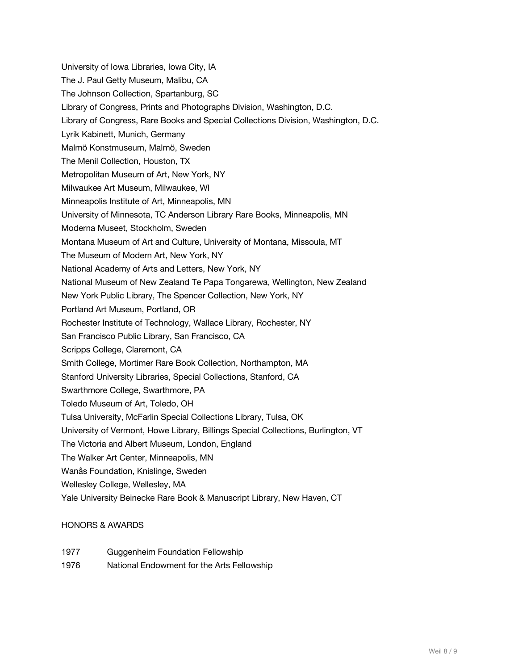University of Iowa Libraries, Iowa City, IA The J. Paul Getty Museum, Malibu, CA The Johnson Collection, Spartanburg, SC Library of Congress, Prints and Photographs Division, Washington, D.C. Library of Congress, Rare Books and Special Collections Division, Washington, D.C. Lyrik Kabinett, Munich, Germany Malmö Konstmuseum, Malmö, Sweden The Menil Collection, Houston, TX Metropolitan Museum of Art, New York, NY Milwaukee Art Museum, Milwaukee, WI Minneapolis Institute of Art, Minneapolis, MN University of Minnesota, TC Anderson Library Rare Books, Minneapolis, MN Moderna Museet, Stockholm, Sweden Montana Museum of Art and Culture, University of Montana, Missoula, MT The Museum of Modern Art, New York, NY National Academy of Arts and Letters, New York, NY National Museum of New Zealand Te Papa Tongarewa, Wellington, New Zealand New York Public Library, The Spencer Collection, New York, NY Portland Art Museum, Portland, OR Rochester Institute of Technology, Wallace Library, Rochester, NY San Francisco Public Library, San Francisco, CA Scripps College, Claremont, CA Smith College, Mortimer Rare Book Collection, Northampton, MA Stanford University Libraries, Special Collections, Stanford, CA Swarthmore College, Swarthmore, PA Toledo Museum of Art, Toledo, OH Tulsa University, McFarlin Special Collections Library, Tulsa, OK University of Vermont, Howe Library, Billings Special Collections, Burlington, VT The Victoria and Albert Museum, London, England The Walker Art Center, Minneapolis, MN Wanås Foundation, Knislinge, Sweden Wellesley College, Wellesley, MA Yale University Beinecke Rare Book & Manuscript Library, New Haven, CT

#### HONORS & AWARDS

- 1977 Guggenheim Foundation Fellowship
- 1976 National Endowment for the Arts Fellowship